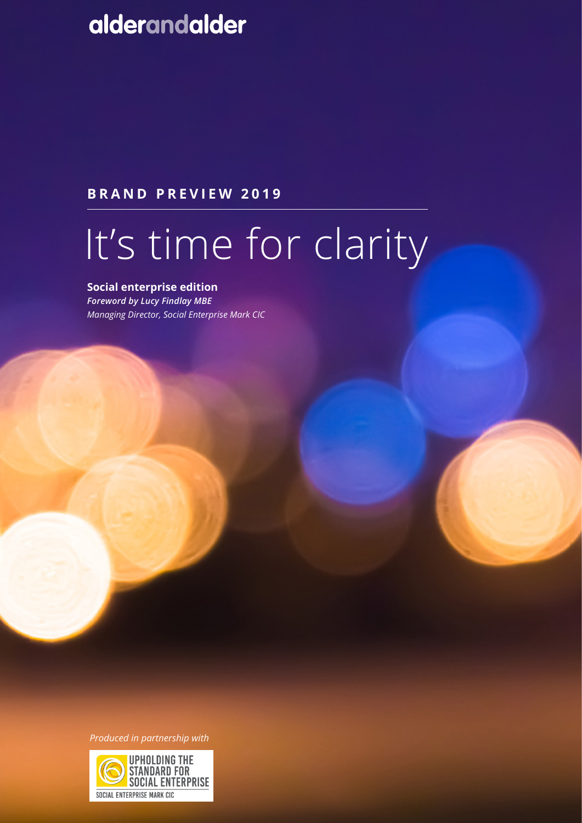# alderandalder

# **BRAND PREVIEW 2019**

# It's time for clarity

# **Social enterprise edition**

*Foreword by Lucy Findlay MBE Managing Director, Social Enterprise Mark CIC*

*Produced in partnership with*

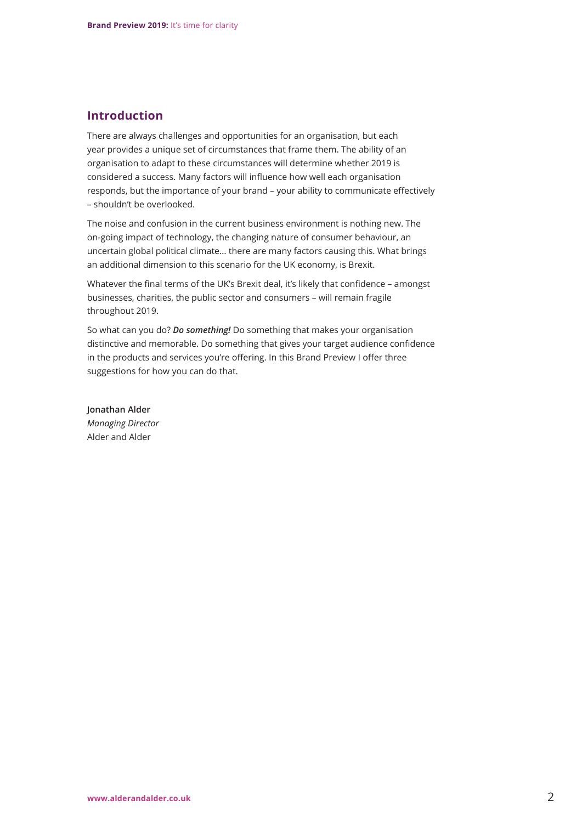## **Introduction**

There are always challenges and opportunities for an organisation, but each year provides a unique set of circumstances that frame them. The ability of an organisation to adapt to these circumstances will determine whether 2019 is considered a success. Many factors will influence how well each organisation responds, but the importance of your brand – your ability to communicate effectively – shouldn't be overlooked.

The noise and confusion in the current business environment is nothing new. The on-going impact of technology, the changing nature of consumer behaviour, an uncertain global political climate… there are many factors causing this. What brings an additional dimension to this scenario for the UK economy, is Brexit.

Whatever the final terms of the UK's Brexit deal, it's likely that confidence - amongst businesses, charities, the public sector and consumers – will remain fragile throughout 2019.

So what can you do? *Do something!* Do something that makes your organisation distinctive and memorable. Do something that gives your target audience confidence in the products and services you're offering. In this Brand Preview I offer three suggestions for how you can do that.

**Jonathan Alder** *Managing Director* Alder and Alder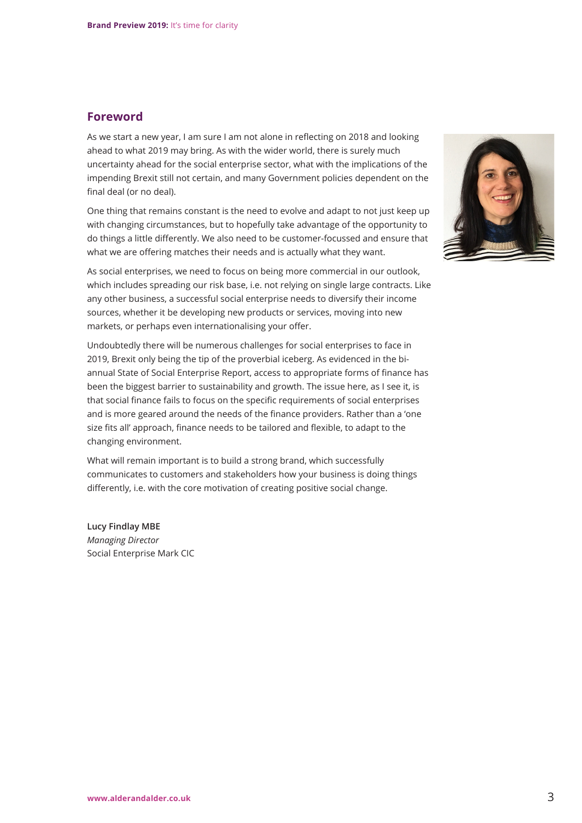## **Foreword**

As we start a new year, I am sure I am not alone in reflecting on 2018 and looking ahead to what 2019 may bring. As with the wider world, there is surely much uncertainty ahead for the social enterprise sector, what with the implications of the impending Brexit still not certain, and many Government policies dependent on the final deal (or no deal).

One thing that remains constant is the need to evolve and adapt to not just keep up with changing circumstances, but to hopefully take advantage of the opportunity to do things a little differently. We also need to be customer-focussed and ensure that what we are offering matches their needs and is actually what they want.

As social enterprises, we need to focus on being more commercial in our outlook, which includes spreading our risk base, i.e. not relying on single large contracts. Like any other business, a successful social enterprise needs to diversify their income sources, whether it be developing new products or services, moving into new markets, or perhaps even internationalising your offer.

Undoubtedly there will be numerous challenges for social enterprises to face in 2019, Brexit only being the tip of the proverbial iceberg. As evidenced in the biannual State of Social Enterprise Report, access to appropriate forms of finance has been the biggest barrier to sustainability and growth. The issue here, as I see it, is that social finance fails to focus on the specific requirements of social enterprises and is more geared around the needs of the finance providers. Rather than a 'one size fits all' approach, finance needs to be tailored and flexible, to adapt to the changing environment.

What will remain important is to build a strong brand, which successfully communicates to customers and stakeholders how your business is doing things differently, i.e. with the core motivation of creating positive social change.

**Lucy Findlay MBE** *Managing Director* Social Enterprise Mark CIC

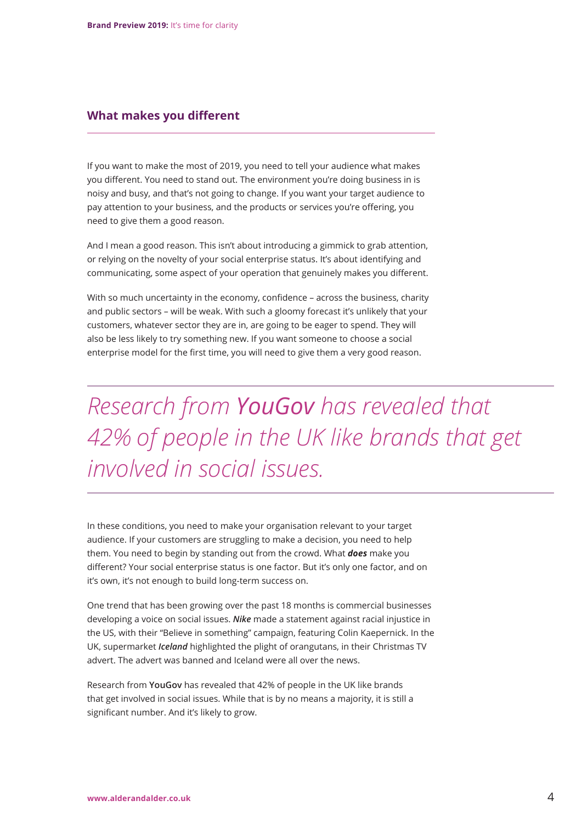#### **What makes you different**

If you want to make the most of 2019, you need to tell your audience what makes you different. You need to stand out. The environment you're doing business in is noisy and busy, and that's not going to change. If you want your target audience to pay attention to your business, and the products or services you're offering, you need to give them a good reason.

And I mean a good reason. This isn't about introducing a gimmick to grab attention, or relying on the novelty of your social enterprise status. It's about identifying and communicating, some aspect of your operation that genuinely makes you different.

With so much uncertainty in the economy, confidence – across the business, charity and public sectors – will be weak. With such a gloomy forecast it's unlikely that your customers, whatever sector they are in, are going to be eager to spend. They will also be less likely to try something new. If you want someone to choose a social enterprise model for the first time, you will need to give them a very good reason.

*Research from YouGov has revealed that 42% of people in the UK like brands that get involved in social issues.* 

In these conditions, you need to make your organisation relevant to your target audience. If your customers are struggling to make a decision, you need to help them. You need to begin by standing out from the crowd. What *does* make you different? Your social enterprise status is one factor. But it's only one factor, and on it's own, it's not enough to build long-term success on.

One trend that has been growing over the past 18 months is commercial businesses developing a voice on social issues. *Nike* made a statement against racial injustice in the US, with their "Believe in something" campaign, featuring Colin Kaepernick. In the UK, supermarket *Iceland* highlighted the plight of orangutans, in their Christmas TV advert. The advert was banned and Iceland were all over the news.

Research from **YouGov** has revealed that 42% of people in the UK like brands that get involved in social issues. While that is by no means a majority, it is still a significant number. And it's likely to grow.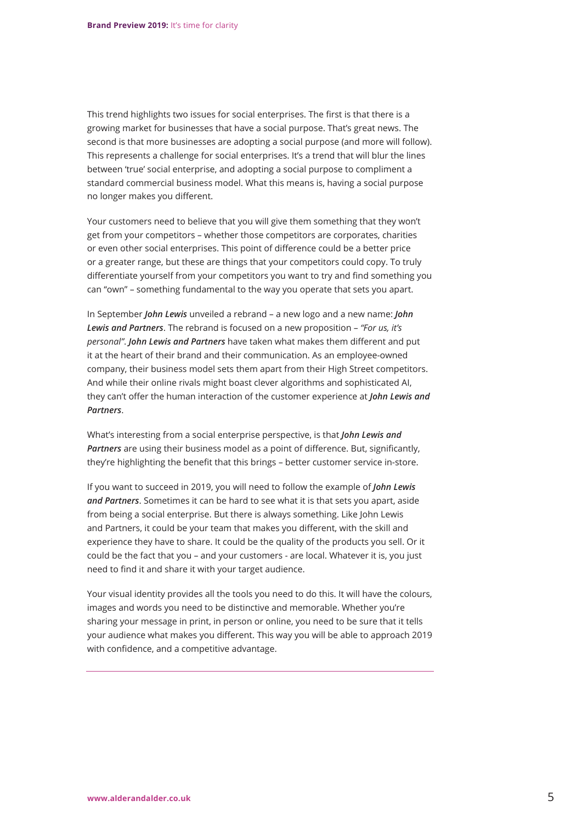This trend highlights two issues for social enterprises. The first is that there is a growing market for businesses that have a social purpose. That's great news. The second is that more businesses are adopting a social purpose (and more will follow). This represents a challenge for social enterprises. It's a trend that will blur the lines between 'true' social enterprise, and adopting a social purpose to compliment a standard commercial business model. What this means is, having a social purpose no longer makes you different.

Your customers need to believe that you will give them something that they won't get from your competitors – whether those competitors are corporates, charities or even other social enterprises. This point of difference could be a better price or a greater range, but these are things that your competitors could copy. To truly differentiate yourself from your competitors you want to try and find something you can "own" – something fundamental to the way you operate that sets you apart.

In September *John Lewis* unveiled a rebrand – a new logo and a new name: *John Lewis and Partners*. The rebrand is focused on a new proposition – *"For us, it's personal"*. *John Lewis and Partners* have taken what makes them different and put it at the heart of their brand and their communication. As an employee-owned company, their business model sets them apart from their High Street competitors. And while their online rivals might boast clever algorithms and sophisticated AI, they can't offer the human interaction of the customer experience at *John Lewis and Partners*.

What's interesting from a social enterprise perspective, is that *John Lewis and Partners* are using their business model as a point of difference. But, significantly, they're highlighting the benefit that this brings – better customer service in-store.

If you want to succeed in 2019, you will need to follow the example of *John Lewis and Partners*. Sometimes it can be hard to see what it is that sets you apart, aside from being a social enterprise. But there is always something. Like John Lewis and Partners, it could be your team that makes you different, with the skill and experience they have to share. It could be the quality of the products you sell. Or it could be the fact that you – and your customers - are local. Whatever it is, you just need to find it and share it with your target audience.

Your visual identity provides all the tools you need to do this. It will have the colours, images and words you need to be distinctive and memorable. Whether you're sharing your message in print, in person or online, you need to be sure that it tells your audience what makes you different. This way you will be able to approach 2019 with confidence, and a competitive advantage.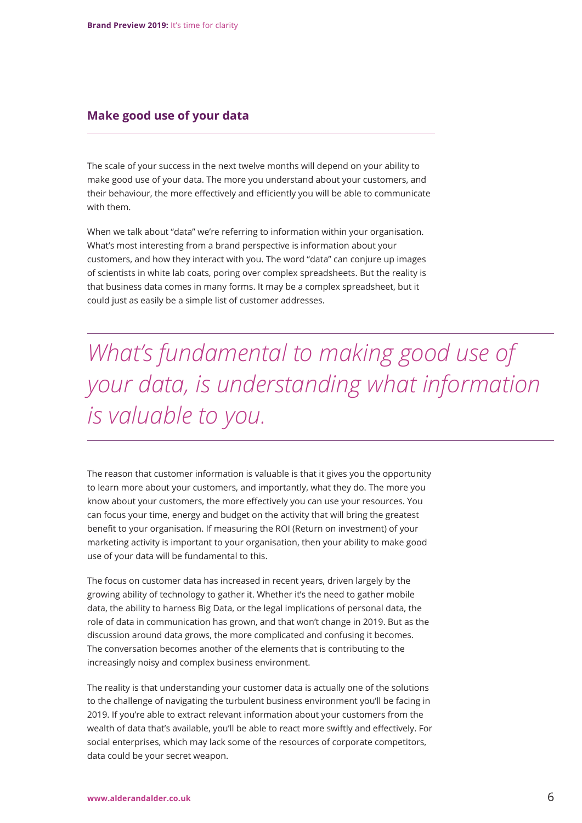#### **Make good use of your data**

The scale of your success in the next twelve months will depend on your ability to make good use of your data. The more you understand about your customers, and their behaviour, the more effectively and efficiently you will be able to communicate with them.

When we talk about "data" we're referring to information within your organisation. What's most interesting from a brand perspective is information about your customers, and how they interact with you. The word "data" can conjure up images of scientists in white lab coats, poring over complex spreadsheets. But the reality is that business data comes in many forms. It may be a complex spreadsheet, but it could just as easily be a simple list of customer addresses.

*What's fundamental to making good use of your data, is understanding what information is valuable to you.*

The reason that customer information is valuable is that it gives you the opportunity to learn more about your customers, and importantly, what they do. The more you know about your customers, the more effectively you can use your resources. You can focus your time, energy and budget on the activity that will bring the greatest benefit to your organisation. If measuring the ROI (Return on investment) of your marketing activity is important to your organisation, then your ability to make good use of your data will be fundamental to this.

The focus on customer data has increased in recent years, driven largely by the growing ability of technology to gather it. Whether it's the need to gather mobile data, the ability to harness Big Data, or the legal implications of personal data, the role of data in communication has grown, and that won't change in 2019. But as the discussion around data grows, the more complicated and confusing it becomes. The conversation becomes another of the elements that is contributing to the increasingly noisy and complex business environment.

The reality is that understanding your customer data is actually one of the solutions to the challenge of navigating the turbulent business environment you'll be facing in 2019. If you're able to extract relevant information about your customers from the wealth of data that's available, you'll be able to react more swiftly and effectively. For social enterprises, which may lack some of the resources of corporate competitors, data could be your secret weapon.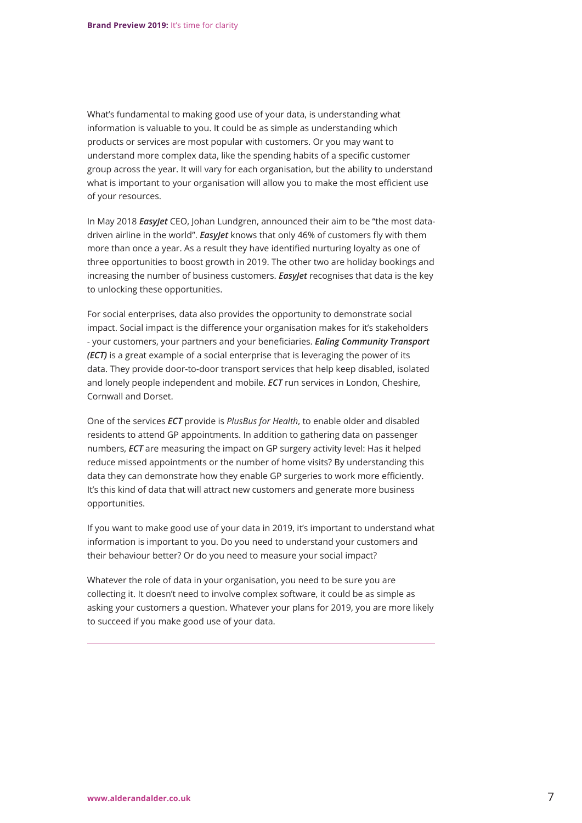What's fundamental to making good use of your data, is understanding what information is valuable to you. It could be as simple as understanding which products or services are most popular with customers. Or you may want to understand more complex data, like the spending habits of a specific customer group across the year. It will vary for each organisation, but the ability to understand what is important to your organisation will allow you to make the most efficient use of your resources.

In May 2018 *EasyJet* CEO, Johan Lundgren, announced their aim to be "the most datadriven airline in the world". *EasyJet* knows that only 46% of customers fly with them more than once a year. As a result they have identified nurturing loyalty as one of three opportunities to boost growth in 2019. The other two are holiday bookings and increasing the number of business customers. *EasyJet* recognises that data is the key to unlocking these opportunities.

For social enterprises, data also provides the opportunity to demonstrate social impact. Social impact is the difference your organisation makes for it's stakeholders - your customers, your partners and your beneficiaries. *Ealing Community Transport (ECT)* is a great example of a social enterprise that is leveraging the power of its data. They provide door-to-door transport services that help keep disabled, isolated and lonely people independent and mobile. *ECT* run services in London, Cheshire, Cornwall and Dorset.

One of the services *ECT* provide is *PlusBus for Health*, to enable older and disabled residents to attend GP appointments. In addition to gathering data on passenger numbers, *ECT* are measuring the impact on GP surgery activity level: Has it helped reduce missed appointments or the number of home visits? By understanding this data they can demonstrate how they enable GP surgeries to work more efficiently. It's this kind of data that will attract new customers and generate more business opportunities.

If you want to make good use of your data in 2019, it's important to understand what information is important to you. Do you need to understand your customers and their behaviour better? Or do you need to measure your social impact?

Whatever the role of data in your organisation, you need to be sure you are collecting it. It doesn't need to involve complex software, it could be as simple as asking your customers a question. Whatever your plans for 2019, you are more likely to succeed if you make good use of your data.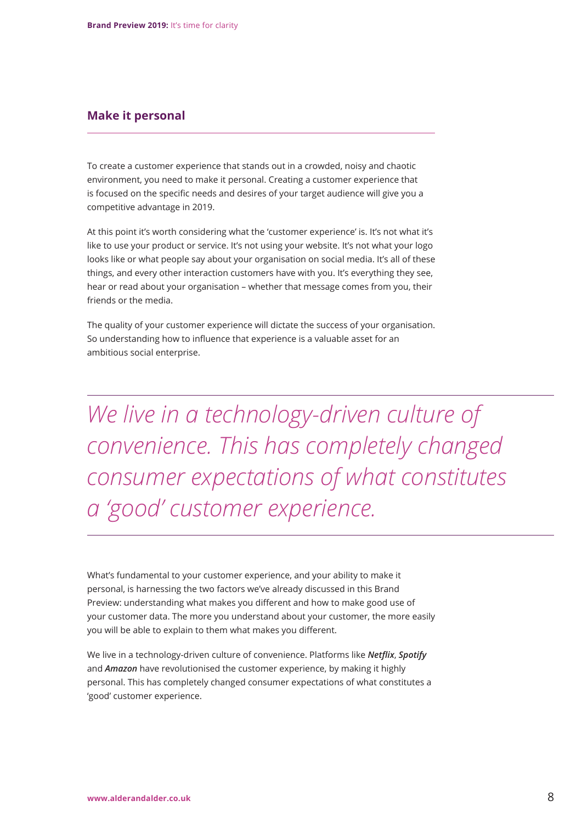#### **Make it personal**

To create a customer experience that stands out in a crowded, noisy and chaotic environment, you need to make it personal. Creating a customer experience that is focused on the specific needs and desires of your target audience will give you a competitive advantage in 2019.

At this point it's worth considering what the 'customer experience' is. It's not what it's like to use your product or service. It's not using your website. It's not what your logo looks like or what people say about your organisation on social media. It's all of these things, and every other interaction customers have with you. It's everything they see, hear or read about your organisation – whether that message comes from you, their friends or the media.

The quality of your customer experience will dictate the success of your organisation. So understanding how to influence that experience is a valuable asset for an ambitious social enterprise.

*We live in a technology-driven culture of convenience. This has completely changed consumer expectations of what constitutes a 'good' customer experience.*

What's fundamental to your customer experience, and your ability to make it personal, is harnessing the two factors we've already discussed in this Brand Preview: understanding what makes you different and how to make good use of your customer data. The more you understand about your customer, the more easily you will be able to explain to them what makes you different.

We live in a technology-driven culture of convenience. Platforms like *Netflix*, *Spotify* and *Amazon* have revolutionised the customer experience, by making it highly personal. This has completely changed consumer expectations of what constitutes a 'good' customer experience.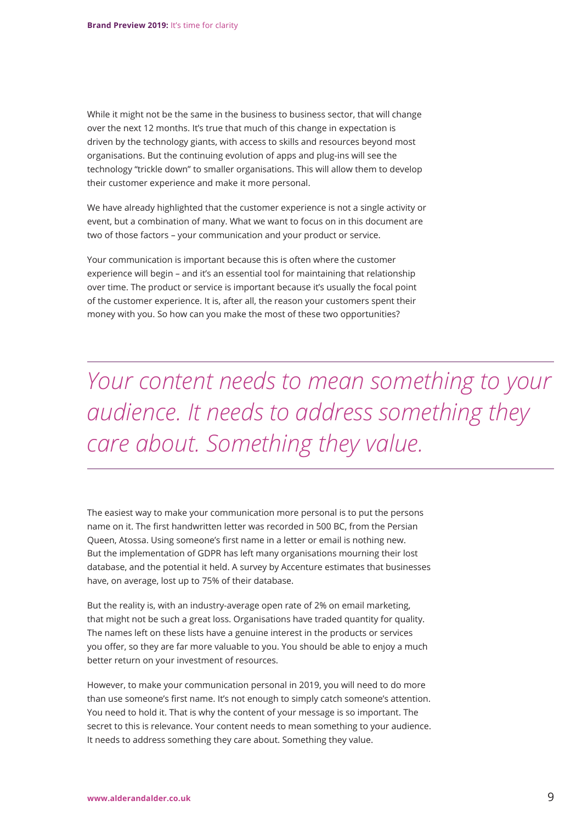While it might not be the same in the business to business sector, that will change over the next 12 months. It's true that much of this change in expectation is driven by the technology giants, with access to skills and resources beyond most organisations. But the continuing evolution of apps and plug-ins will see the technology "trickle down" to smaller organisations. This will allow them to develop their customer experience and make it more personal.

We have already highlighted that the customer experience is not a single activity or event, but a combination of many. What we want to focus on in this document are two of those factors – your communication and your product or service.

Your communication is important because this is often where the customer experience will begin – and it's an essential tool for maintaining that relationship over time. The product or service is important because it's usually the focal point of the customer experience. It is, after all, the reason your customers spent their money with you. So how can you make the most of these two opportunities?

*Your content needs to mean something to your audience. It needs to address something they care about. Something they value.*

The easiest way to make your communication more personal is to put the persons name on it. The first handwritten letter was recorded in 500 BC, from the Persian Queen, Atossa. Using someone's first name in a letter or email is nothing new. But the implementation of GDPR has left many organisations mourning their lost database, and the potential it held. A survey by Accenture estimates that businesses have, on average, lost up to 75% of their database.

But the reality is, with an industry-average open rate of 2% on email marketing, that might not be such a great loss. Organisations have traded quantity for quality. The names left on these lists have a genuine interest in the products or services you offer, so they are far more valuable to you. You should be able to enjoy a much better return on your investment of resources.

However, to make your communication personal in 2019, you will need to do more than use someone's first name. It's not enough to simply catch someone's attention. You need to hold it. That is why the content of your message is so important. The secret to this is relevance. Your content needs to mean something to your audience. It needs to address something they care about. Something they value.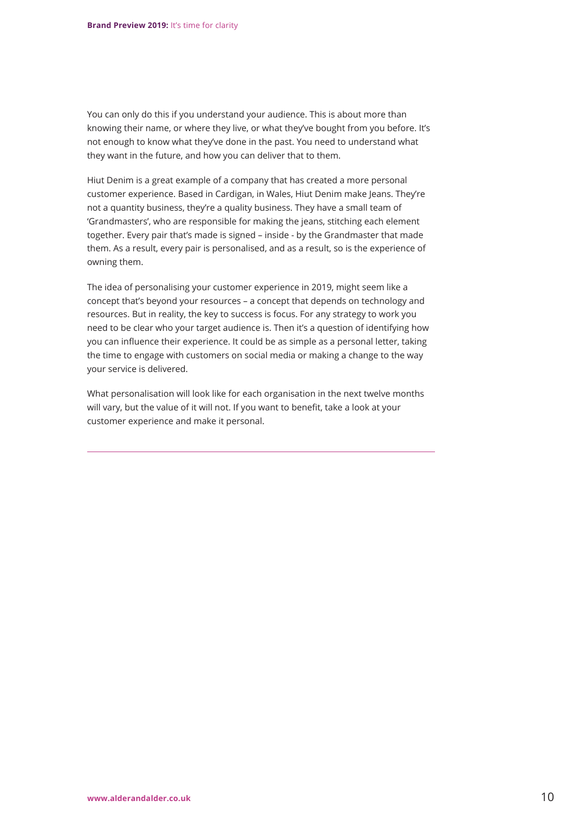You can only do this if you understand your audience. This is about more than knowing their name, or where they live, or what they've bought from you before. It's not enough to know what they've done in the past. You need to understand what they want in the future, and how you can deliver that to them.

Hiut Denim is a great example of a company that has created a more personal customer experience. Based in Cardigan, in Wales, Hiut Denim make Jeans. They're not a quantity business, they're a quality business. They have a small team of 'Grandmasters', who are responsible for making the jeans, stitching each element together. Every pair that's made is signed – inside - by the Grandmaster that made them. As a result, every pair is personalised, and as a result, so is the experience of owning them.

The idea of personalising your customer experience in 2019, might seem like a concept that's beyond your resources – a concept that depends on technology and resources. But in reality, the key to success is focus. For any strategy to work you need to be clear who your target audience is. Then it's a question of identifying how you can influence their experience. It could be as simple as a personal letter, taking the time to engage with customers on social media or making a change to the way your service is delivered.

What personalisation will look like for each organisation in the next twelve months will vary, but the value of it will not. If you want to benefit, take a look at your customer experience and make it personal.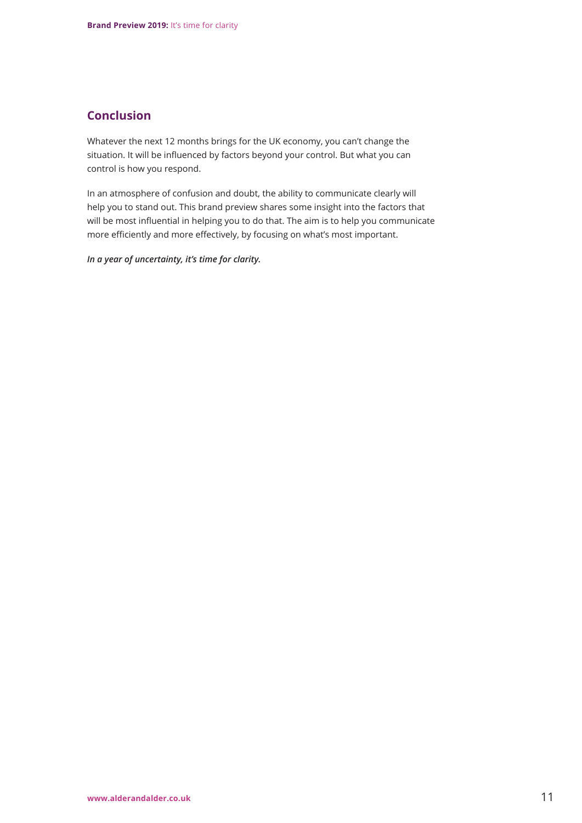# **Conclusion**

Whatever the next 12 months brings for the UK economy, you can't change the situation. It will be influenced by factors beyond your control. But what you can control is how you respond.

In an atmosphere of confusion and doubt, the ability to communicate clearly will help you to stand out. This brand preview shares some insight into the factors that will be most influential in helping you to do that. The aim is to help you communicate more efficiently and more effectively, by focusing on what's most important.

*In a year of uncertainty, it's time for clarity.*